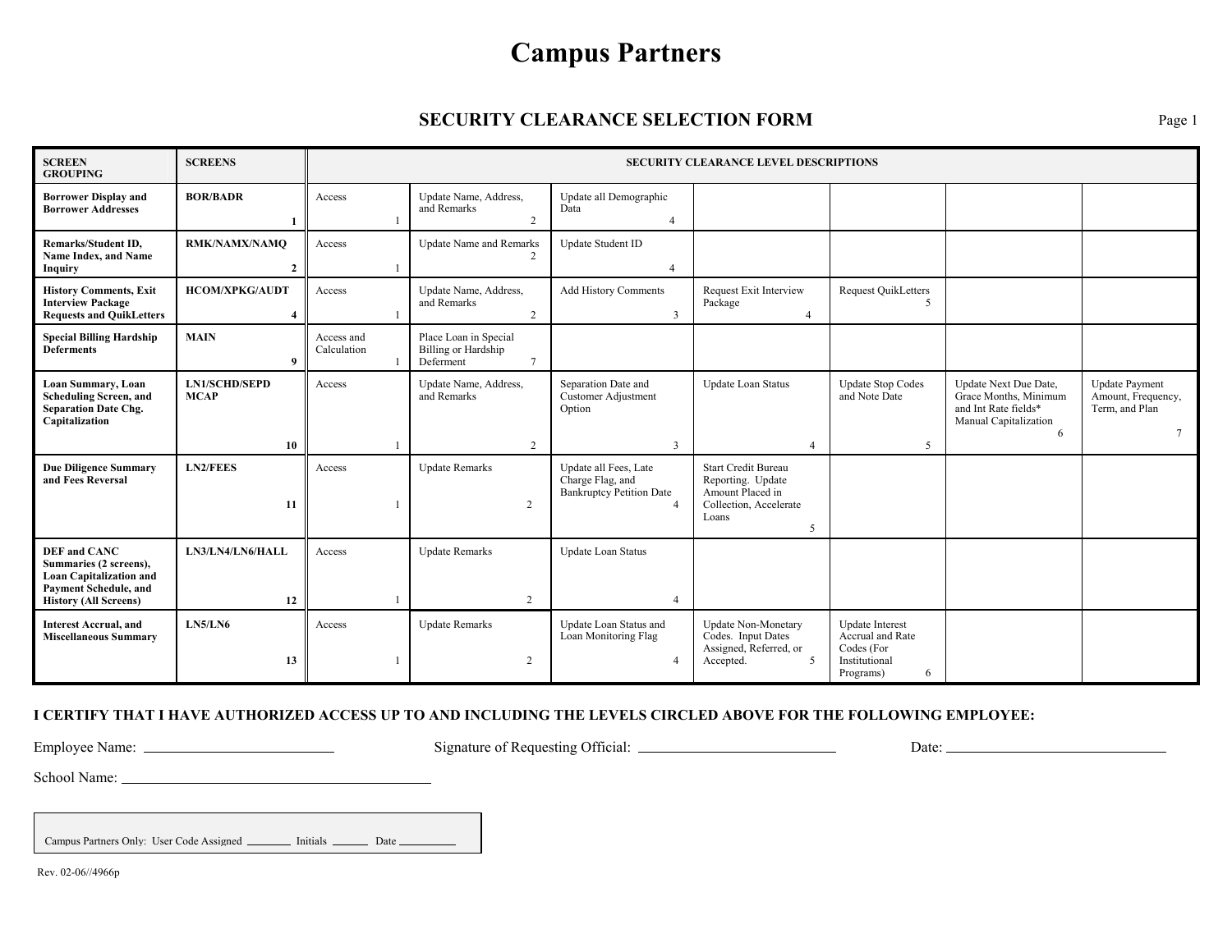## **Campus Partners**

## **SECURITY CLEARANCE SELECTION FORM** Page 1

| <b>SCREEN</b><br><b>GROUPING</b>                                                                                                                | <b>SCREENS</b>                      | <b>SECURITY CLEARANCE LEVEL DESCRIPTIONS</b> |                                                           |                                                                                                |                                                                                                             |                                                                                             |                                                                                                      |                                                                                 |
|-------------------------------------------------------------------------------------------------------------------------------------------------|-------------------------------------|----------------------------------------------|-----------------------------------------------------------|------------------------------------------------------------------------------------------------|-------------------------------------------------------------------------------------------------------------|---------------------------------------------------------------------------------------------|------------------------------------------------------------------------------------------------------|---------------------------------------------------------------------------------|
| <b>Borrower Display and</b><br><b>Borrower Addresses</b>                                                                                        | <b>BOR/BADR</b>                     | Access                                       | Update Name, Address,<br>and Remarks<br>2                 | Update all Demographic<br>Data<br>$\overline{4}$                                               |                                                                                                             |                                                                                             |                                                                                                      |                                                                                 |
| <b>Remarks/Student ID,</b><br>Name Index, and Name<br>Inquiry                                                                                   | RMK/NAMX/NAMQ<br>$\overline{2}$     | Access                                       | <b>Update Name and Remarks</b>                            | Update Student ID                                                                              |                                                                                                             |                                                                                             |                                                                                                      |                                                                                 |
| <b>History Comments, Exit</b><br><b>Interview Package</b><br><b>Requests and QuikLetters</b>                                                    | <b>HCOM/XPKG/AUDT</b>               | Access                                       | Update Name, Address,<br>and Remarks<br>2                 | <b>Add History Comments</b><br>$\mathbf{3}$                                                    | <b>Request Exit Interview</b><br>Package<br>$\overline{4}$                                                  | <b>Request QuikLetters</b><br>$\sim$                                                        |                                                                                                      |                                                                                 |
| <b>Special Billing Hardship</b><br><b>Deferments</b>                                                                                            | <b>MAIN</b><br>9                    | Access and<br>Calculation                    | Place Loan in Special<br>Billing or Hardship<br>Deferment |                                                                                                |                                                                                                             |                                                                                             |                                                                                                      |                                                                                 |
| Loan Summary, Loan<br><b>Scheduling Screen, and</b><br><b>Separation Date Chg.</b><br>Capitalization                                            | <b>LN1/SCHD/SEPD</b><br><b>MCAP</b> | Access                                       | Update Name, Address,<br>and Remarks                      | Separation Date and<br><b>Customer Adjustment</b><br>Option                                    | Update Loan Status                                                                                          | <b>Update Stop Codes</b><br>and Note Date                                                   | Update Next Due Date,<br>Grace Months, Minimum<br>and Int Rate fields*<br>Manual Capitalization<br>6 | <b>Update Payment</b><br>Amount, Frequency,<br>Term, and Plan<br>$\overline{7}$ |
|                                                                                                                                                 | 10                                  |                                              | 2                                                         | $\overline{3}$                                                                                 | $\Delta$                                                                                                    | 5                                                                                           |                                                                                                      |                                                                                 |
| <b>Due Diligence Summary</b><br>and Fees Reversal                                                                                               | <b>LN2/FEES</b><br>11               | Access                                       | <b>Update Remarks</b><br>$\overline{2}$                   | Update all Fees, Late<br>Charge Flag, and<br><b>Bankruptcy Petition Date</b><br>$\overline{4}$ | <b>Start Credit Bureau</b><br>Reporting. Update<br>Amount Placed in<br>Collection, Accelerate<br>Loans<br>5 |                                                                                             |                                                                                                      |                                                                                 |
| <b>DEF</b> and CANC<br>Summaries (2 screens),<br><b>Loan Capitalization and</b><br><b>Payment Schedule, and</b><br><b>History (All Screens)</b> | LN3/LN4/LN6/HALL<br>12              | Access                                       | <b>Update Remarks</b><br>2                                | <b>Update Loan Status</b><br>$\overline{4}$                                                    |                                                                                                             |                                                                                             |                                                                                                      |                                                                                 |
| <b>Interest Accrual, and</b><br><b>Miscellaneous Summary</b>                                                                                    | <b>LN5/LN6</b><br>13                | Access                                       | <b>Update Remarks</b><br>$\overline{2}$                   | Update Loan Status and<br>Loan Monitoring Flag                                                 | <b>Update Non-Monetary</b><br>Codes. Input Dates<br>Assigned, Referred, or<br>Accepted.<br>5                | <b>Update</b> Interest<br>Accrual and Rate<br>Codes (For<br>Institutional<br>Programs)<br>6 |                                                                                                      |                                                                                 |

## **I CERTIFY THAT I HAVE AUTHORIZED ACCESS UP TO AND INCLUDING THE LEVELS CIRCLED ABOVE FOR THE FOLLOWING EMPLOYEE:**

Employee Name: Signature of Requesting Official: Date:

School Name:

Campus Partners Only: User Code Assigned \_\_\_\_\_\_\_\_\_ Initials \_\_\_\_\_\_\_\_\_ Date \_\_\_\_\_\_\_\_\_\_\_

Rev. 02-06//4966p